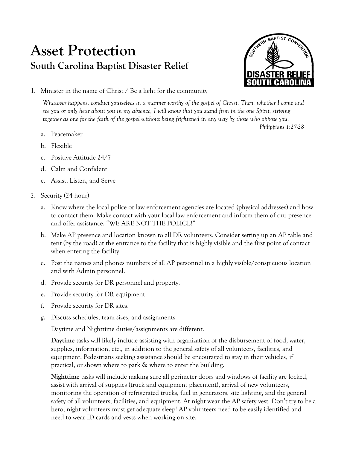## **Asset Protection South Carolina Baptist Disaster Relief**



*Philippians 1:27-28*

1. Minister in the name of Christ / Be a light for the community

*Whatever happens, conduct yourselves in a manner worthy of the gospel of Christ. Then, whether I come and see you or only hear about you in my absence, I will know that you stand firm in the one Spirit, striving together as one for the faith of the gospel without being frightened in any way by those who oppose you.*

- a. Peacemaker
- b. Flexible
- c. Positive Attitude 24/7
- d. Calm and Confident
- e. Assist, Listen, and Serve
- 2. Security (24 hour)
	- a. Know where the local police or law enforcement agencies are located (physical addresses) and how to contact them. Make contact with your local law enforcement and inform them of our presence and offer assistance. "WE ARE NOT THE POLICE!"
	- b. Make AP presence and location known to all DR volunteers. Consider setting up an AP table and tent (by the road) at the entrance to the facility that is highly visible and the first point of contact when entering the facility.
	- c. Post the names and phones numbers of all AP personnel in a highly visible/conspicuous location and with Admin personnel.
	- d. Provide security for DR personnel and property.
	- e. Provide security for DR equipment.
	- f. Provide security for DR sites.
	- g. Discuss schedules, team sizes, and assignments.

Daytime and Nighttime duties/assignments are different.

**Daytime** tasks will likely include assisting with organization of the disbursement of food, water, supplies, information, etc., in addition to the general safety of all volunteers, facilities, and equipment. Pedestrians seeking assistance should be encouraged to stay in their vehicles, if practical, or shown where to park & where to enter the building.

**Nighttime** tasks will include making sure all perimeter doors and windows of facility are locked, assist with arrival of supplies (truck and equipment placement), arrival of new volunteers, monitoring the operation of refrigerated trucks, fuel in generators, site lighting, and the general safety of all volunteers, facilities, and equipment. At night wear the AP safety vest. Don't try to be a hero, night volunteers must get adequate sleep! AP volunteers need to be easily identified and need to wear ID cards and vests when working on site.